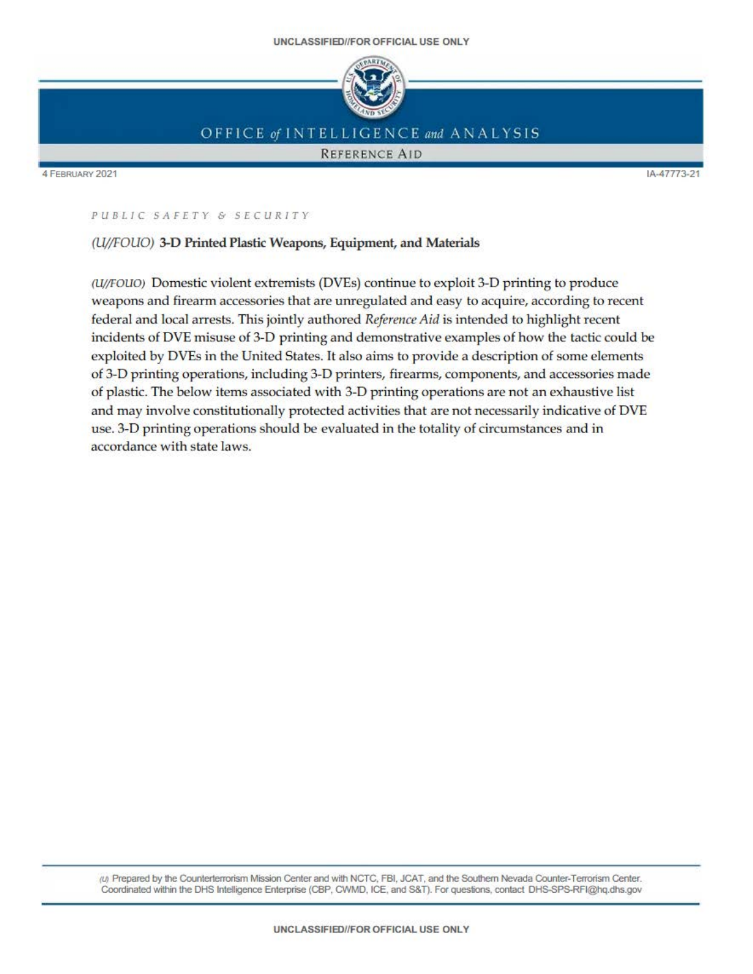

# OFFICE of INTELLIGENCE and ANALYSIS

REFERENCE AID

4 FEBRUARY 2021 IA-47773-21

## *PUBLIC SAFETY* & SECURITY

## (U//FOUO) 3-D Printed Plastic Weapons, Equipment, and Materials

*(U//FOUO)* Domestic violent extremists *(DVEs)* continue to exploit 3-D printing to produce weapons and firearm accessories that are unregulated and easy to acquire, according to recent federal and local arrests. This jointly authored *Reference Aid* is intended to highlight recent incidents of DVE misuse of 3-D printing and demonstrative examples of how the tactic could be exploited by DVEs in the United States. It also aims to provide a description of some elements of 3-D printing operations, including 3-D printers, firearms, components, and accessories made of plastic. The below items associated with 3-D printing operations are not an exhaustive list and may involve constitutionally protected activities that are not necessarily indicative of DVE use. 3-D printing operations should be evaluated in the totality of circumstances and in accordance with state laws.

(1) Prepared by the Counterterrorism Mission Center and with NCTC, FBI, JCAT, and the Southern Nevada Counter-Terrorism Center. Coordinated within the DHS Intelligence Enterprise (CBP, CWMD, ICE, and S&T). For questions, contact DHS-SPS-RFI@hq.dhs.gov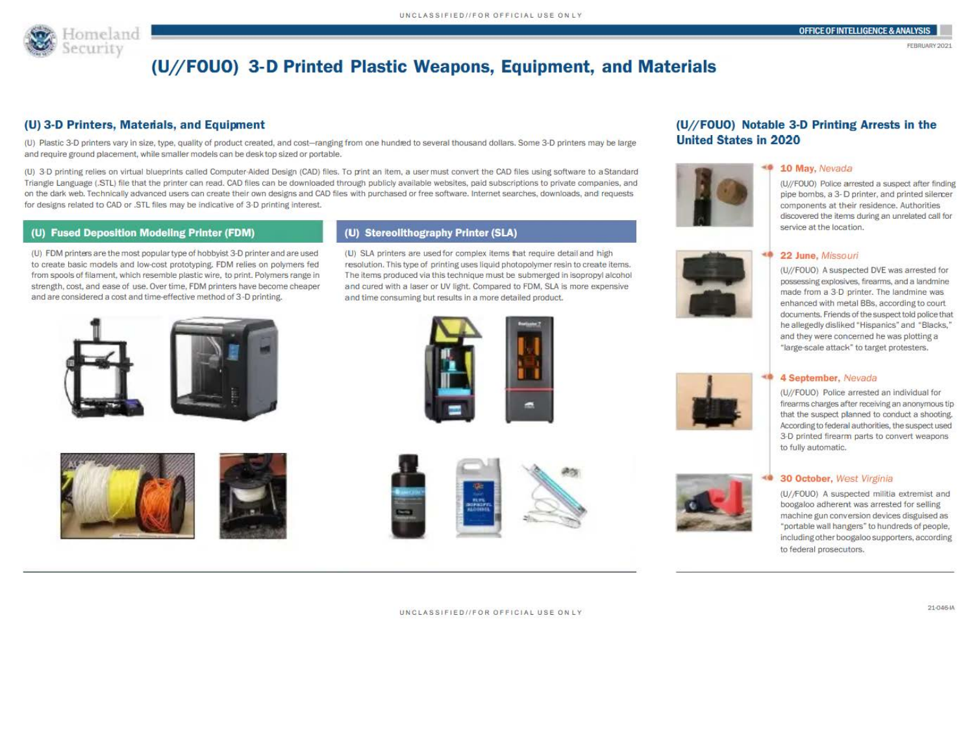

I

#### FEBRUARY 2021

# (U//FOUO) 3-0 Printed Plastic Weapons, Equipment, and Materials

## (U) 3-0 Printers, Materials, and Equipment

(U) Plastic 3-0 printers vary in size, type, quality of product created, and cost-ranging from one hundred to several thousand dollars. Some 3-0 printers may be large and require ground placement, while smaller models can be desk top sized or portable.

(U) 3-D printing relies on virtual blueprints called Computer-Aided Design (CAD) files. To print an item, a user must convert the CAD files using software to a Standard Triangle Language (.STL) file that the printer can read. CAD files can be downloaded through publicly available websites, paid subscriptions to private companies, and on the dark web. Technicalty advanced users can create their own designs and CAD files with purchased or free software. Internet searches, downloads. and requests for designs related to CAD or .STL files may be indicative of 3-D printing interest.

## (U) Fused Deposition Modellng Printer (FDM)

(U) FOM printers are the most papular type of hobbyist 3-0 printer and are used to create basic models and low-cost prototyping. FDM relies on potymers fed from spools of filament, which resemble plastic wire, to print. Polymers range in strength, cost. and ease of use. Over time, FOM printers have become cheaper and are considered a cost and time-effective method of 3-D printing.









(U) SLA printers are used for complex items that require detail and high resolution. This type of printing uses liquid photopolymer resin to create items. The items produced via this technique must be submerged in isopropyl alcohol a nd cured with a laser or UV light. Compared to FDM, SLA is more expensive a nd time consuming but results in a more detailed product.











#### 10 May, Nevada

(U//FOUO) Police arrested a suspect after finding pipe bombs, a 3-0 printer, and printed silercer companents at their residence. Authorities discovered the items during an unrelated call for service at the location.

#### 22 June, Missouri

(U//FOUO) A suspected OVE was arrested for possessing explosives, firearms, and a landmine made from a 3-D printer. The landmine was enhanced with metal BBs, according to court documents. Friends of the suspect told police that he allegedly disliked "Hispanics" and "Blacks," and they were concerned he was plotting a "large-scale attack" to target protesters.

#### 4 September, Nevada

(U//FOUO) Police arrested an individual for firearms charges after receiving an anonymous tip that the suspect planned to conduct a shooting. According to federal authorities, the suspect used 3 -0 printed firearm parts to convert weapons to fully automatic.

#### 30 October, West Virginia

boogaloo adherent was arrested for selling machine gun conversion devices disguised as "portable wall hangers" to hundreds of people, including other boogaloo supporters, according to federal prosecutors.

(U/ JFOUO) A suspected militia extremist and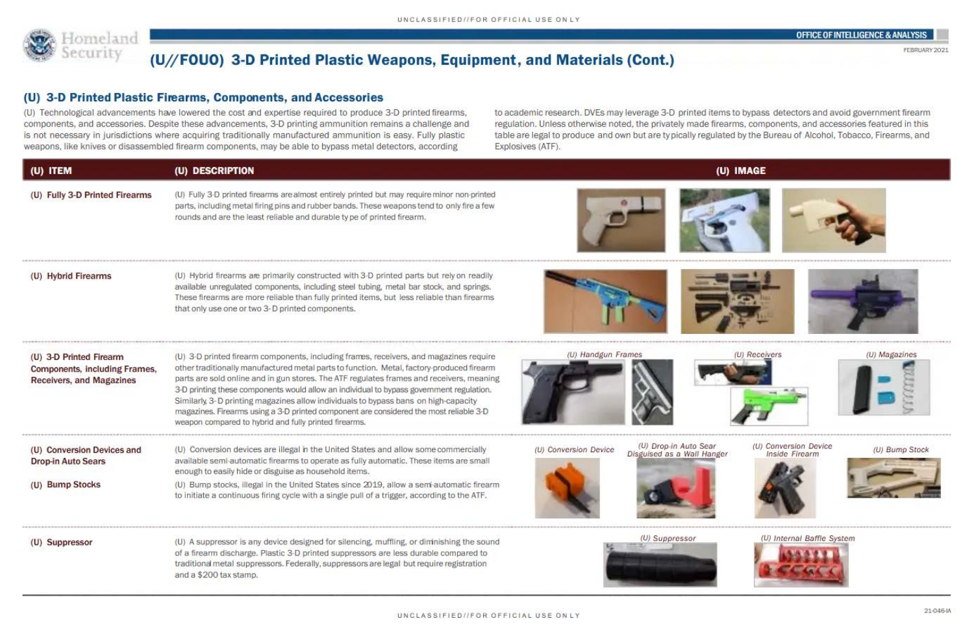FEBRUARY2021

# (U//FOUO) 3-0 Printed Plastic Weapons, Equipment, and Materials (Cont.)

### (U) 3-D Printed Plastic Firearms, Components, and Accessories

Homeland<br>Security

(U) Technological advancements have lowered the cost and expertise required to produce 3-D printed firearms. components, and accessories. Despite these advancements, 3-D printing ammunition remains a challenge and is not necessary in jurisdictions where acquiring traditionally manufactured ammunition is easy. Fully plastic weapons, like knives or disassembled firearm components, may be able to bypass metal detectors, according

to academic research. DVEs may leverage 3-D printed items to bypass detectors and avoid government firearm regulation. Unless otherwise noted, the privately made firearms. components, and accessories featured in this table are legal to produce and own but are typically regulated by the Bureau of Alcohol, Tobacco, Firearms, and Explosives (ATF).

| (U) ITEM                                                                                           | (U) DESCRIPTION                                                                                                                                                                                                                                                                                                                                                                                                                                                                                                                                                                                                       | (U) IMAGE                                                                                                                                 |
|----------------------------------------------------------------------------------------------------|-----------------------------------------------------------------------------------------------------------------------------------------------------------------------------------------------------------------------------------------------------------------------------------------------------------------------------------------------------------------------------------------------------------------------------------------------------------------------------------------------------------------------------------------------------------------------------------------------------------------------|-------------------------------------------------------------------------------------------------------------------------------------------|
| (U) Fully 3-D Printed Firearms                                                                     | (U) Fully 3-D printed firearms are almost entirely printed but may require minor non-printed<br>parts, including metal firing pins and rubber bands. These weapons tend to only fire a few<br>rounds and are the least reliable and durable type of printed firearm.                                                                                                                                                                                                                                                                                                                                                  |                                                                                                                                           |
| (U) Hybrid Firearms                                                                                | (U) Hybrid firearms are primarily constructed with 3-D printed parts but rely on readily<br>available unregulated components, including steel tubing, metal bar stock, and springs.<br>These firearms are more reliable than fully printed items, but less reliable than firearms<br>that only use one or two 3-D printed components.                                                                                                                                                                                                                                                                                 |                                                                                                                                           |
| (U) 3-D Printed Firearm<br><b>Components, including Frames,</b><br><b>Receivers, and Magazines</b> | (U) 3-D printed firearm components, including frames, receivers, and magazines require<br>other traditionally manufactured metal parts to function. Metal, factory-produced firearm<br>parts are sold online and in gun stores. The ATF regulates frames and receivers, meaning<br>3-D printing these components would allow an individual to bypass government regulation.<br>Similarly, 3-D printing magazines allow individuals to bypass bans on high-capacity<br>magazines. Firearms using a 3-D printed component are considered the most reliable 3-D<br>weapon compared to hybrid and fully printed firearms. | (U) Handgun Frames<br>(U) Receivers<br>(U) Magazines                                                                                      |
| (U) Conversion Devices and<br><b>Drop-in Auto Sears</b>                                            | (U) Conversion devices are illegal in the United States and allow some commercially<br>available semi-automatic firearms to operate as fully automatic. These items are small<br>enough to easily hide or disguise as household items.                                                                                                                                                                                                                                                                                                                                                                                | (U) Drop-in Auto Sear<br>(U) Conversion Device<br>(U) Conversion Device<br>(U) Bump Stock<br>Disguised as a Wall Hanger<br>Inside Firearm |
| (U) Bump Stocks                                                                                    | (U) Bump stocks, illegal in the United States since 2019, allow a semi-automatic firearm<br>to initiate a continuous firing cycle with a single pull of a trigger, according to the ATF.                                                                                                                                                                                                                                                                                                                                                                                                                              |                                                                                                                                           |
| (U) Suppressor                                                                                     | (U) A suppressor is any device designed for silencing, muffling, or diminishing the sound<br>of a firearm discharge. Plastic 3-D printed suppressors are less durable compared to<br>traditional metal suppressors. Federally, suppressors are legal but require registration<br>and a \$200 tax stamp.                                                                                                                                                                                                                                                                                                               | (U) Internal Baffle System<br>(U) Suppressor                                                                                              |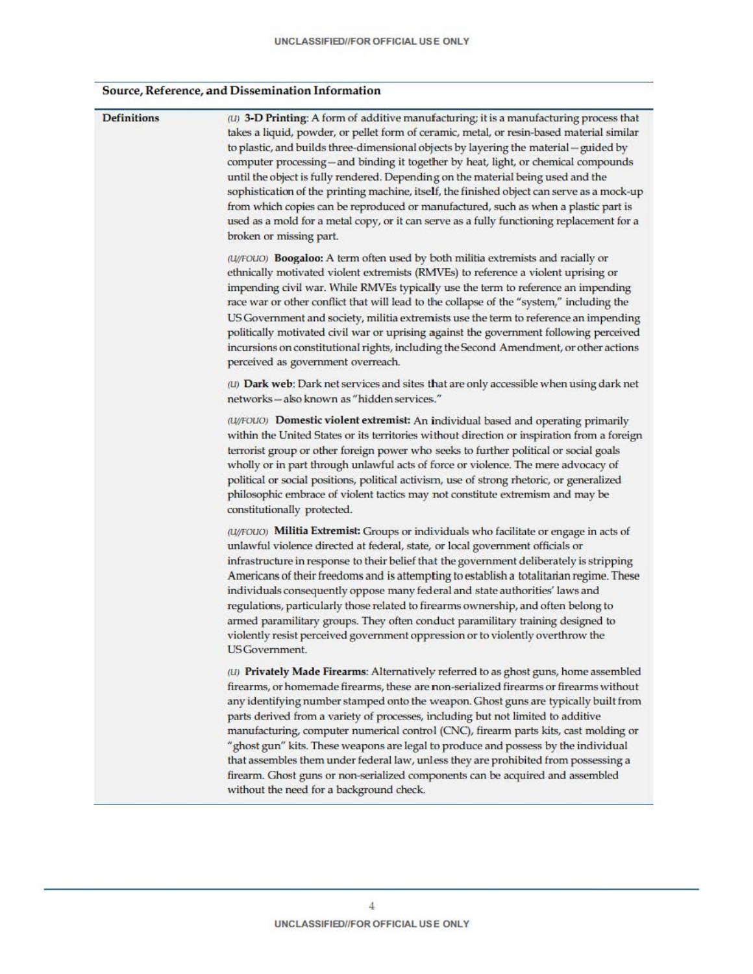# Source, Reference, and Dissemination Information

| <b>Definitions</b> | (U) 3-D Printing: A form of additive manufacturing; it is a manufacturing process that<br>takes a liquid, powder, or pellet form of ceramic, metal, or resin-based material similar<br>to plastic, and builds three-dimensional objects by layering the material - guided by<br>computer processing-and binding it together by heat, light, or chemical compounds<br>until the object is fully rendered. Depending on the material being used and the<br>sophistication of the printing machine, itself, the finished object can serve as a mock-up<br>from which copies can be reproduced or manufactured, such as when a plastic part is<br>used as a mold for a metal copy, or it can serve as a fully functioning replacement for a<br>broken or missing part. |  |
|--------------------|--------------------------------------------------------------------------------------------------------------------------------------------------------------------------------------------------------------------------------------------------------------------------------------------------------------------------------------------------------------------------------------------------------------------------------------------------------------------------------------------------------------------------------------------------------------------------------------------------------------------------------------------------------------------------------------------------------------------------------------------------------------------|--|
|                    | (U/FOUO) Boogaloo: A term often used by both militia extremists and racially or<br>ethnically motivated violent extremists (RMVEs) to reference a violent uprising or<br>impending civil war. While RMVEs typically use the term to reference an impending<br>race war or other conflict that will lead to the collapse of the "system," including the<br>US Government and society, militia extremists use the term to reference an impending<br>politically motivated civil war or uprising against the government following perceived<br>incursions on constitutional rights, including the Second Amendment, or other actions<br>perceived as government overreach.                                                                                            |  |
|                    | (U) Dark web: Dark net services and sites that are only accessible when using dark net<br>networks-also known as "hidden services."                                                                                                                                                                                                                                                                                                                                                                                                                                                                                                                                                                                                                                |  |
|                    | (U/FOUO) Domestic violent extremist: An individual based and operating primarily<br>within the United States or its territories without direction or inspiration from a foreign<br>terrorist group or other foreign power who seeks to further political or social goals<br>wholly or in part through unlawful acts of force or violence. The mere advocacy of<br>political or social positions, political activism, use of strong rhetoric, or generalized<br>philosophic embrace of violent tactics may not constitute extremism and may be<br>constitutionally protected.                                                                                                                                                                                       |  |
|                    | (U/FOUO) Militia Extremist: Groups or individuals who facilitate or engage in acts of<br>unlawful violence directed at federal, state, or local government officials or<br>infrastructure in response to their belief that the government deliberately is stripping<br>Americans of their freedoms and is attempting to establish a totalitarian regime. These<br>individuals consequently oppose many federal and state authorities' laws and<br>regulations, particularly those related to firearms ownership, and often belong to<br>armed paramilitary groups. They often conduct paramilitary training designed to<br>violently resist perceived government oppression or to violently overthrow the<br>US Government.                                        |  |
|                    | (U) Privately Made Firearms: Alternatively referred to as ghost guns, home assembled<br>firearms, or homemade firearms, these are non-serialized firearms or firearms without<br>any identifying number stamped onto the weapon. Ghost guns are typically built from<br>parts derived from a variety of processes, including but not limited to additive<br>manufacturing, computer numerical control (CNC), firearm parts kits, cast molding or<br>"ghost gun" kits. These weapons are legal to produce and possess by the individual<br>that assembles them under federal law, unless they are prohibited from possessing a<br>firearm. Ghost guns or non-serialized components can be acquired and assembled<br>without the need for a background check.        |  |